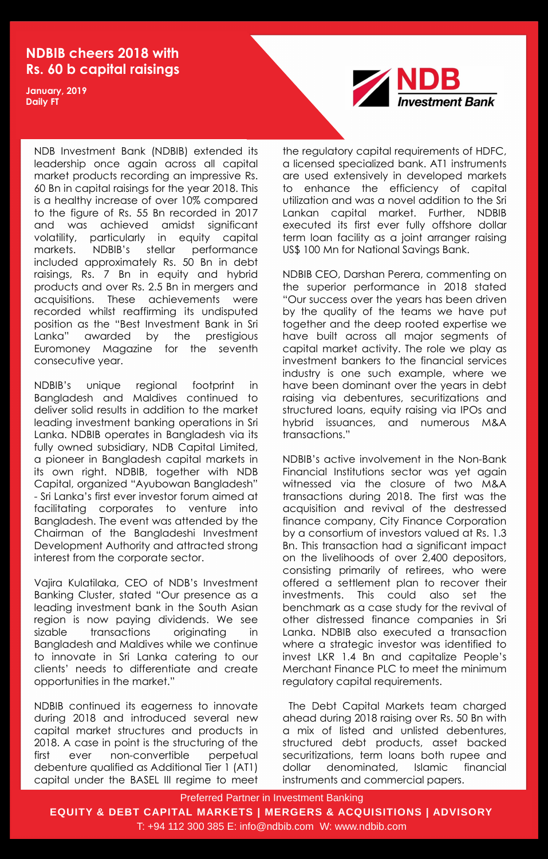Preferred Partner in Investment Banking

**EQUITY & DEBT CAPITAL MARKETS | MERGERS & ACQUISITIONS | ADVISORY**

T: +94 112 300 385 E: info@ndbib.com W: www.ndbib.com

## **NDBIB cheers 2018 with Rs. 60 b capital raisings**

**January, 2019 Daily FT**

> NDB Investment Bank (NDBIB) extended its leadership once again across all capital market products recording an impressive Rs. 60 Bn in capital raisings for the year 2018. This is a healthy increase of over 10% compared to the figure of Rs. 55 Bn recorded in 2017 and was achieved amidst significant volatility, particularly in equity capital markets. NDBIB"s stellar performance included approximately Rs. 50 Bn in debt raisings, Rs. 7 Bn in equity and hybrid products and over Rs. 2.5 Bn in mergers and acquisitions. These achievements were recorded whilst reaffirming its undisputed position as the "Best Investment Bank in Sri Lanka" awarded by the prestigious Euromoney Magazine for the seventh consecutive year.

> NDBIB"s unique regional footprint in Bangladesh and Maldives continued to deliver solid results in addition to the market leading investment banking operations in Sri Lanka. NDBIB operates in Bangladesh via its fully owned subsidiary, NDB Capital Limited, a pioneer in Bangladesh capital markets in its own right. NDBIB, together with NDB Capital, organized "Ayubowan Bangladesh" - Sri Lanka"s first ever investor forum aimed at facilitating corporates to venture into Bangladesh. The event was attended by the Chairman of the Bangladeshi Investment Development Authority and attracted strong interest from the corporate sector.



Vajira Kulatilaka, CEO of NDB"s Investment Banking Cluster, stated "Our presence as a leading investment bank in the South Asian region is now paying dividends. We see sizable transactions originating in Bangladesh and Maldives while we continue to innovate in Sri Lanka catering to our clients" needs to differentiate and create opportunities in the market."

NDBIB continued its eagerness to innovate during 2018 and introduced several new capital market structures and products in 2018. A case in point is the structuring of the first ever non-convertible perpetual debenture qualified as Additional Tier 1 (AT1) capital under the BASEL III regime to meet the regulatory capital requirements of HDFC, a licensed specialized bank. AT1 instruments are used extensively in developed markets to enhance the efficiency of capital utilization and was a novel addition to the Sri Lankan capital market. Further, NDBIB executed its first ever fully offshore dollar term loan facility as a joint arranger raising US\$ 100 Mn for National Savings Bank.

NDBIB CEO, Darshan Perera, commenting on the superior performance in 2018 stated "Our success over the years has been driven by the quality of the teams we have put together and the deep rooted expertise we have built across all major segments of capital market activity. The role we play as investment bankers to the financial services industry is one such example, where we have been dominant over the years in debt raising via debentures, securitizations and structured loans, equity raising via IPOs and hybrid issuances, and numerous M&A transactions."

NDBIB"s active involvement in the Non-Bank Financial Institutions sector was yet again witnessed via the closure of two M&A transactions during 2018. The first was the acquisition and revival of the destressed finance company, City Finance Corporation by a consortium of investors valued at Rs. 1.3 Bn. This transaction had a significant impact on the livelihoods of over 2,400 depositors, consisting primarily of retirees, who were offered a settlement plan to recover their investments. This could also set the benchmark as a case study for the revival of other distressed finance companies in Sri Lanka. NDBIB also executed a transaction where a strategic investor was identified to invest LKR 1.4 Bn and capitalize People"s Merchant Finance PLC to meet the minimum regulatory capital requirements.

The Debt Capital Markets team charged ahead during 2018 raising over Rs. 50 Bn with a mix of listed and unlisted debentures, structured debt products, asset backed securitizations, term loans both rupee and dollar denominated, Islamic financial instruments and commercial papers.